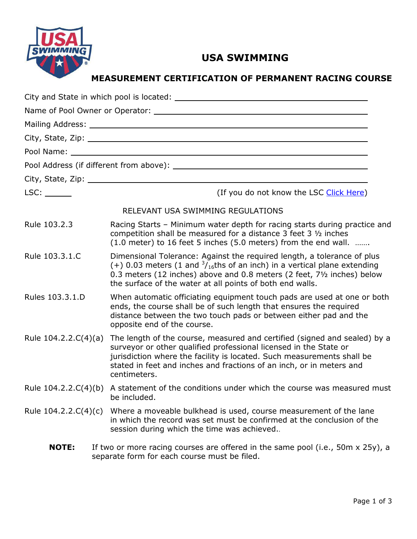

# USA SWIMMING

MEASUREMENT CERTIFICATION OF PERMANENT RACING COURSE

| LSC:                   | (If you do not know the LSC Click Here)                                                                                                                                                                                                                                                                          |
|------------------------|------------------------------------------------------------------------------------------------------------------------------------------------------------------------------------------------------------------------------------------------------------------------------------------------------------------|
|                        | RELEVANT USA SWIMMING REGULATIONS                                                                                                                                                                                                                                                                                |
| Rule 103.2.3           | Racing Starts - Minimum water depth for racing starts during practice and<br>competition shall be measured for a distance 3 feet 3 1/2 inches<br>(1.0 meter) to 16 feet 5 inches (5.0 meters) from the end wall.                                                                                                 |
| Rule 103.3.1.C         | Dimensional Tolerance: Against the required length, a tolerance of plus<br>(+) 0.03 meters (1 and $\frac{3}{16}$ ths of an inch) in a vertical plane extending<br>0.3 meters (12 inches) above and 0.8 meters (2 feet, 71/2 inches) below<br>the surface of the water at all points of both end walls.           |
| Rules 103.3.1.D        | When automatic officiating equipment touch pads are used at one or both<br>ends, the course shall be of such length that ensures the required<br>distance between the two touch pads or between either pad and the<br>opposite end of the course.                                                                |
| Rule 104.2.2.C(4)(a)   | The length of the course, measured and certified (signed and sealed) by a<br>surveyor or other qualified professional licensed in the State or<br>jurisdiction where the facility is located. Such measurements shall be<br>stated in feet and inches and fractions of an inch, or in meters and<br>centimeters. |
|                        | Rule $104.2.2.C(4)(b)$ A statement of the conditions under which the course was measured must<br>be included.                                                                                                                                                                                                    |
| Rule $104.2.2.C(4)(c)$ | Where a moveable bulkhead is used, course measurement of the lane<br>in which the record was set must be confirmed at the conclusion of the<br>session during which the time was achieved                                                                                                                        |
| <b>NOTE:</b>           | If two or more racing courses are offered in the same pool (i.e., 50m x 25y), a<br>separate form for each course must be filed.                                                                                                                                                                                  |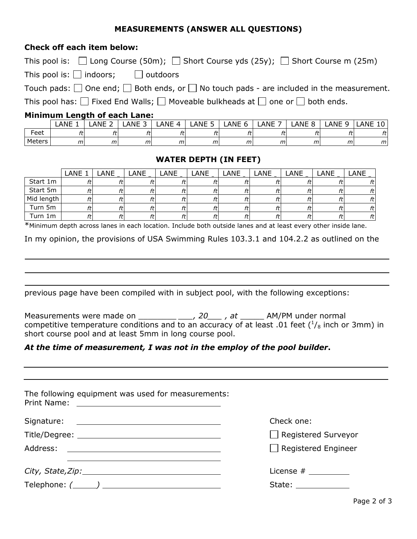## MEASUREMENTS (ANSWER ALL QUESTIONS)

#### Check off each item below:

This pool is:  $\Box$  Long Course (50m);  $\Box$  Short Course yds (25y);  $\Box$  Short Course m (25m)

This pool is:  $\Box$  indoors;  $\Box$  outdoors

Touch pads:  $\Box$  One end;  $\Box$  Both ends, or  $\Box$  No touch pads - are included in the measurement.

This pool has:  $\Box$  Fixed End Walls;  $\Box$  Moveable bulkheads at  $\Box$  one or  $\Box$  both ends.

#### Minimum Length of each Lane:

|        | LANE    | ΔNF<br>- | <b>ANF</b><br>-<br><b>OUTL</b> | <b>ANF</b><br>↵ | <b>ANE</b><br>- | ANE<br>n | ANE<br>- | LANE<br>$\sim$ | <b>ANE</b><br>◡ | <b>ANE</b><br>$\overline{ }$<br>τn<br>– |
|--------|---------|----------|--------------------------------|-----------------|-----------------|----------|----------|----------------|-----------------|-----------------------------------------|
| Feet   |         |          |                                | . .             |                 |          |          |                |                 | ft                                      |
| Meters | r<br>,, | m        | m                              | m               | m               | m        | m        | m              | m               | m                                       |

# WATER DEPTH (IN FEET)

|            | LANE 1 | LANE | LANE | LANE | <b>LANE</b> | LANE | LANE | LANE | LANE | LANE |
|------------|--------|------|------|------|-------------|------|------|------|------|------|
| Start 1m   |        |      |      |      |             |      |      |      |      | ftl  |
| Start 5m   |        |      |      | ft   |             |      | tt   |      |      | ftl  |
| Mid length | ft     |      |      | ft   |             |      | tτ   | ft   |      | ftl  |
| Turn 5m    | ft     |      |      | ft   |             |      | tτ   |      |      | ftl  |
| Turn 1m    | ft     |      |      | ft   |             |      | tτ   |      |      | ftl  |

\*Minimum depth across lanes in each location. Include both outside lanes and at least every other inside lane.

In my opinion, the provisions of USA Swimming Rules 103.3.1 and 104.2.2 as outlined on the

previous page have been compiled with in subject pool, with the following exceptions:

Measurements were made on  $\_\_\_\_\_\_\_$ , 20, at  $\_\_\_\_$  AM/PM under normal competitive temperature conditions and to an accuracy of at least .01 feet ( $\frac{1}{8}$  inch or 3mm) in short course pool and at least 5mm in long course pool.

## At the time of measurement, I was not in the employ of the pool builder.

| The following equipment was used for measurements:  |                                                                                                                                                                                                                                                                                                                                                                                                                            |
|-----------------------------------------------------|----------------------------------------------------------------------------------------------------------------------------------------------------------------------------------------------------------------------------------------------------------------------------------------------------------------------------------------------------------------------------------------------------------------------------|
|                                                     | Check one:                                                                                                                                                                                                                                                                                                                                                                                                                 |
|                                                     | $\Box$ Registered Surveyor                                                                                                                                                                                                                                                                                                                                                                                                 |
|                                                     | $\Box$ Registered Engineer                                                                                                                                                                                                                                                                                                                                                                                                 |
| City, State, Zip: 1997                              | License $#$ ________                                                                                                                                                                                                                                                                                                                                                                                                       |
| $\mathsf{Telephone:} \; (\underline{\hspace{1cm}})$ | State: $\frac{1}{\sqrt{1-\frac{1}{2}}\cdot\frac{1}{\sqrt{1-\frac{1}{2}}\cdot\frac{1}{2}}\cdot\frac{1}{\sqrt{1-\frac{1}{2}}\cdot\frac{1}{2}}\cdot\frac{1}{\sqrt{1-\frac{1}{2}}\cdot\frac{1}{2}}\cdot\frac{1}{\sqrt{1-\frac{1}{2}}\cdot\frac{1}{2}}\cdot\frac{1}{\sqrt{1-\frac{1}{2}}\cdot\frac{1}{2}}\cdot\frac{1}{\sqrt{1-\frac{1}{2}}\cdot\frac{1}{2}}\cdot\frac{1}{\sqrt{1-\frac{1}{2}}\cdot\frac{1}{2}}\cdot\frac{1}{\$ |